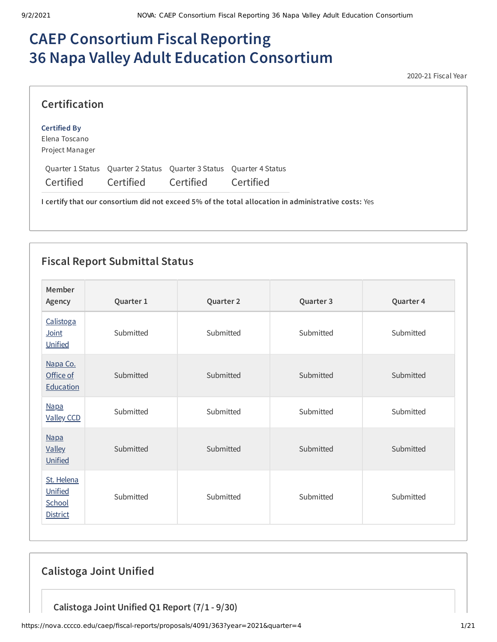# **CAEP Consortium Fiscal Reporting 36 Napa Valley Adult Education Consortium**

2020-21 Fiscal Year

| <b>Certification</b>                                    |                                                                                  |           |           |
|---------------------------------------------------------|----------------------------------------------------------------------------------|-----------|-----------|
| <b>Certified By</b><br>Elena Toscano<br>Project Manager |                                                                                  |           |           |
| Certified                                               | Quarter 1 Status Quarter 2 Status Quarter 3 Status Quarter 4 Status<br>Certified | Certified | Certified |

**I certify that our consortium did not exceed 5% of the total allocation in administrative costs:** Yes

## **Fiscal Report Submittal Status**

| Member<br>Agency                                   | Quarter 1 | Quarter 2 | Quarter 3 | Quarter 4 |
|----------------------------------------------------|-----------|-----------|-----------|-----------|
| Calistoga<br>Joint<br>Unified                      | Submitted | Submitted | Submitted | Submitted |
| Napa Co.<br>Office of<br>Education                 | Submitted | Submitted | Submitted | Submitted |
| <b>Napa</b><br><b>Valley CCD</b>                   | Submitted | Submitted | Submitted | Submitted |
| <b>Napa</b><br><b>Valley</b><br>Unified            | Submitted | Submitted | Submitted | Submitted |
| St. Helena<br>Unified<br>School<br><b>District</b> | Submitted | Submitted | Submitted | Submitted |

## **Calistoga Joint Unified**

**Calistoga Joint Unified Q1 Report (7/1 - 9/30)**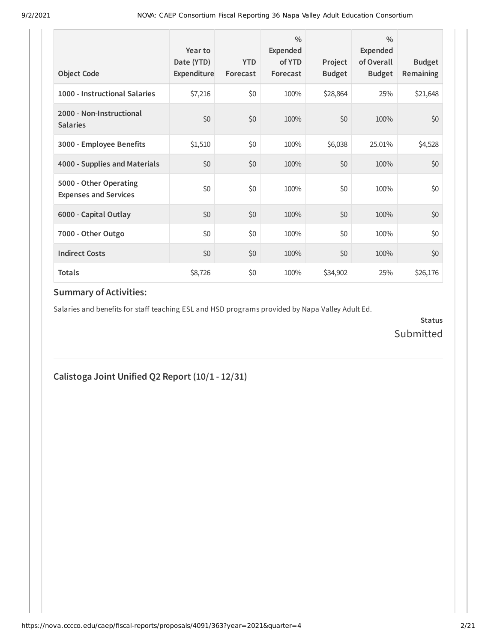| <b>Object Code</b>                                     | Year to<br>Date (YTD)<br>Expenditure | <b>YTD</b><br>Forecast | 0/0<br>Expended<br>of YTD<br>Forecast | Project<br><b>Budget</b> | $\frac{0}{0}$<br>Expended<br>of Overall<br><b>Budget</b> | <b>Budget</b><br><b>Remaining</b> |
|--------------------------------------------------------|--------------------------------------|------------------------|---------------------------------------|--------------------------|----------------------------------------------------------|-----------------------------------|
| 1000 - Instructional Salaries                          | \$7,216                              | \$0                    | 100%                                  | \$28,864                 | 25%                                                      | \$21,648                          |
| 2000 - Non-Instructional<br><b>Salaries</b>            | \$0                                  | \$0                    | 100%                                  | \$0                      | 100%                                                     | \$0                               |
| 3000 - Employee Benefits                               | \$1,510                              | \$0                    | 100%                                  | \$6,038                  | 25.01%                                                   | \$4,528                           |
| 4000 - Supplies and Materials                          | \$0                                  | \$0                    | 100%                                  | \$0                      | 100%                                                     | \$0                               |
| 5000 - Other Operating<br><b>Expenses and Services</b> | \$0                                  | \$0                    | 100%                                  | \$0                      | 100%                                                     | \$0                               |
| 6000 - Capital Outlay                                  | \$0                                  | \$0                    | 100%                                  | \$0                      | 100%                                                     | \$0                               |
| 7000 - Other Outgo                                     | \$0                                  | \$0                    | 100%                                  | \$0                      | 100%                                                     | \$0                               |
| <b>Indirect Costs</b>                                  | \$0                                  | \$0                    | 100%                                  | \$0                      | 100%                                                     | \$0                               |
| <b>Totals</b>                                          | \$8,726                              | \$0                    | 100%                                  | \$34,902                 | 25%                                                      | \$26,176                          |

Salaries and benefits for staff teaching ESL and HSD programs provided by Napa Valley Adult Ed.

**Status** Submitted

## **Calistoga Joint Unified Q2 Report (10/1 - 12/31)**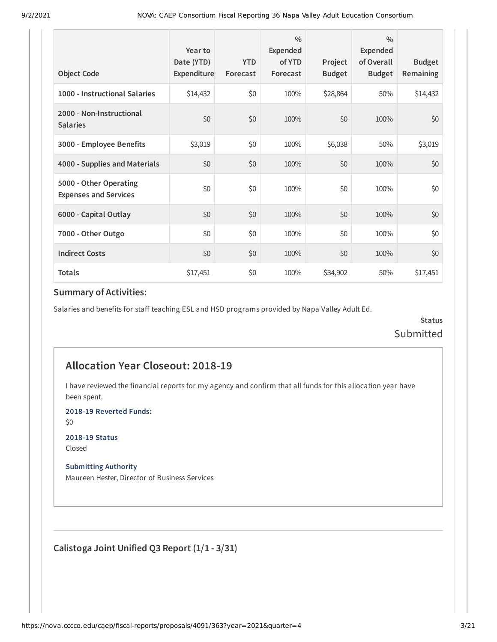| <b>Object Code</b>                                     | Year to<br>Date (YTD)<br>Expenditure | <b>YTD</b><br>Forecast | $\frac{0}{0}$<br>Expended<br>of YTD<br>Forecast | Project<br><b>Budget</b> | $\frac{0}{0}$<br>Expended<br>of Overall<br><b>Budget</b> | <b>Budget</b><br>Remaining |
|--------------------------------------------------------|--------------------------------------|------------------------|-------------------------------------------------|--------------------------|----------------------------------------------------------|----------------------------|
| 1000 - Instructional Salaries                          | \$14,432                             | \$0                    | 100%                                            | \$28,864                 | 50%                                                      | \$14,432                   |
| 2000 - Non-Instructional<br><b>Salaries</b>            | \$0                                  | \$0                    | 100%                                            | \$0                      | 100%                                                     | \$0                        |
| 3000 - Employee Benefits                               | \$3,019                              | \$0                    | 100%                                            | \$6,038                  | 50%                                                      | \$3,019                    |
| 4000 - Supplies and Materials                          | \$0                                  | \$0                    | 100%                                            | \$0                      | 100%                                                     | \$0                        |
| 5000 - Other Operating<br><b>Expenses and Services</b> | \$0                                  | \$0                    | 100%                                            | \$0                      | 100%                                                     | \$0                        |
| 6000 - Capital Outlay                                  | \$0                                  | \$0                    | 100%                                            | \$0                      | 100%                                                     | \$0                        |
| 7000 - Other Outgo                                     | \$0                                  | \$0                    | 100%                                            | \$0                      | 100%                                                     | \$0                        |
| <b>Indirect Costs</b>                                  | \$0                                  | \$0                    | 100%                                            | \$0                      | 100%                                                     | \$0                        |
| <b>Totals</b>                                          | \$17,451                             | \$0                    | 100%                                            | \$34,902                 | 50%                                                      | \$17,451                   |

Salaries and benefits for staff teaching ESL and HSD programs provided by Napa Valley Adult Ed.

**Status** Submitted

## **Allocation Year Closeout: 2018-19**

I have reviewed the financial reports for my agency and confirm that all funds for this allocation year have been spent.

**2018-19 Reverted Funds:**

\$0

**2018-19 Status** Closed

#### **Submitting Authority**

Maureen Hester, Director of Business Services

**Calistoga Joint Unified Q3 Report (1/1 - 3/31)**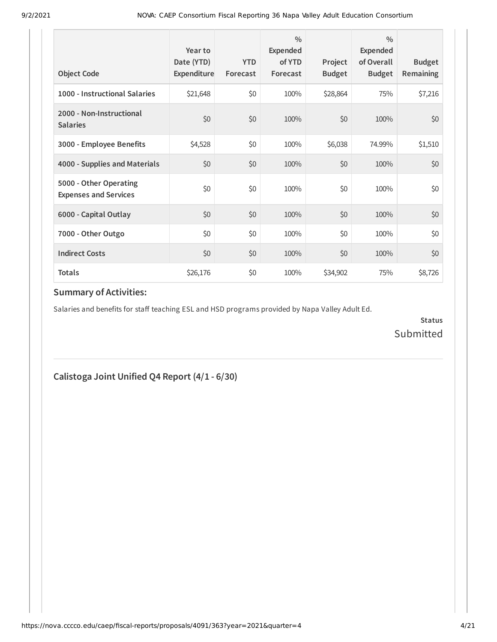| <b>Object Code</b>                                     | Year to<br>Date (YTD)<br>Expenditure | <b>YTD</b><br>Forecast | 0/0<br>Expended<br>of YTD<br>Forecast | Project<br><b>Budget</b> | $\frac{0}{0}$<br>Expended<br>of Overall<br><b>Budget</b> | <b>Budget</b><br><b>Remaining</b> |
|--------------------------------------------------------|--------------------------------------|------------------------|---------------------------------------|--------------------------|----------------------------------------------------------|-----------------------------------|
| 1000 - Instructional Salaries                          | \$21,648                             | \$0                    | 100%                                  | \$28,864                 | 75%                                                      | \$7,216                           |
| 2000 - Non-Instructional<br><b>Salaries</b>            | \$0                                  | \$0                    | 100%                                  | \$0                      | 100%                                                     | \$0                               |
| 3000 - Employee Benefits                               | \$4,528                              | \$0                    | 100%                                  | \$6,038                  | 74.99%                                                   | \$1,510                           |
| 4000 - Supplies and Materials                          | \$0                                  | \$0                    | 100%                                  | \$0                      | 100%                                                     | \$0                               |
| 5000 - Other Operating<br><b>Expenses and Services</b> | \$0                                  | \$0                    | 100%                                  | \$0                      | 100%                                                     | \$0                               |
| 6000 - Capital Outlay                                  | \$0                                  | \$0                    | 100%                                  | \$0                      | 100%                                                     | \$0                               |
| 7000 - Other Outgo                                     | \$0                                  | \$0                    | 100%                                  | \$0                      | 100%                                                     | \$0                               |
| <b>Indirect Costs</b>                                  | \$0                                  | \$0                    | 100%                                  | \$0                      | 100%                                                     | \$0                               |
| <b>Totals</b>                                          | \$26,176                             | \$0                    | 100%                                  | \$34,902                 | 75%                                                      | \$8,726                           |

Salaries and benefits for staff teaching ESL and HSD programs provided by Napa Valley Adult Ed.

**Status** Submitted

## **Calistoga Joint Unified Q4 Report (4/1 - 6/30)**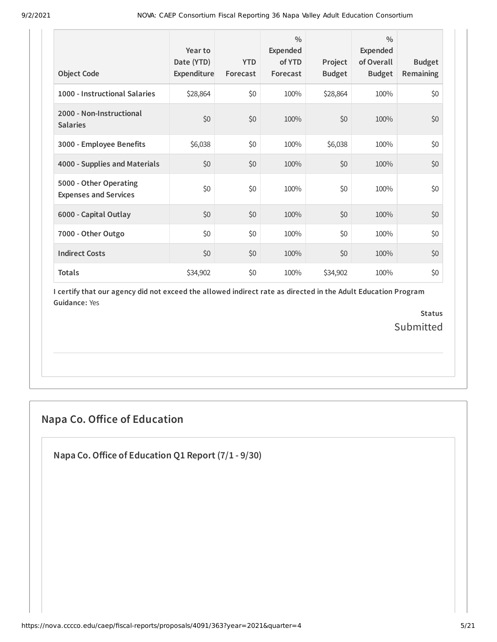| <b>Object Code</b>                                     | Year to<br>Date (YTD)<br>Expenditure | <b>YTD</b><br>Forecast | $\frac{0}{0}$<br>Expended<br>of YTD<br>Forecast | Project<br><b>Budget</b> | $\frac{0}{0}$<br>Expended<br>of Overall<br><b>Budget</b> | <b>Budget</b><br>Remaining |
|--------------------------------------------------------|--------------------------------------|------------------------|-------------------------------------------------|--------------------------|----------------------------------------------------------|----------------------------|
| 1000 - Instructional Salaries                          | \$28,864                             | \$0                    | 100%                                            | \$28,864                 | 100%                                                     | \$0                        |
| 2000 - Non-Instructional<br><b>Salaries</b>            | \$0                                  | \$0                    | 100%                                            | \$0                      | 100%                                                     | \$0                        |
| 3000 - Employee Benefits                               | \$6,038                              | \$0                    | 100%                                            | \$6,038                  | 100%                                                     | \$0                        |
| 4000 - Supplies and Materials                          | \$0                                  | \$0                    | 100%                                            | \$0                      | 100%                                                     | \$0                        |
| 5000 - Other Operating<br><b>Expenses and Services</b> | \$0                                  | \$0                    | 100%                                            | \$0                      | 100%                                                     | \$0                        |
| 6000 - Capital Outlay                                  | \$0                                  | \$0                    | 100%                                            | \$0                      | 100%                                                     | \$0                        |
| 7000 - Other Outgo                                     | \$0                                  | \$0                    | 100%                                            | \$0                      | 100%                                                     | \$0                        |
| <b>Indirect Costs</b>                                  | \$0                                  | \$0                    | 100%                                            | \$0                      | 100%                                                     | \$0                        |
| <b>Totals</b>                                          | \$34,902                             | \$0                    | 100%                                            | \$34,902                 | 100%                                                     | \$0                        |

> **Status** Submitted

## **Napa Co. Office of Education**

**Napa Co.Office of Education Q1 Report (7/1 - 9/30)**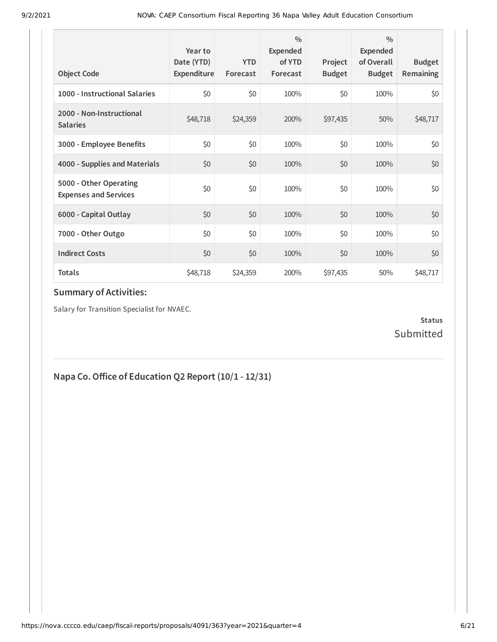| <b>Object Code</b>                                     | Year to<br>Date (YTD)<br>Expenditure | <b>YTD</b><br>Forecast | $\frac{0}{0}$<br>Expended<br>of YTD<br>Forecast | Project<br><b>Budget</b> | $\frac{0}{0}$<br>Expended<br>of Overall<br><b>Budget</b> | <b>Budget</b><br><b>Remaining</b> |
|--------------------------------------------------------|--------------------------------------|------------------------|-------------------------------------------------|--------------------------|----------------------------------------------------------|-----------------------------------|
| 1000 - Instructional Salaries                          | \$0                                  | \$0                    | 100%                                            | \$0                      | 100%                                                     | \$0                               |
| 2000 - Non-Instructional<br><b>Salaries</b>            | \$48,718                             | \$24,359               | 200%                                            | \$97,435                 | 50%                                                      | \$48,717                          |
| 3000 - Employee Benefits                               | \$0                                  | \$0                    | 100%                                            | \$0                      | 100%                                                     | \$0                               |
| 4000 - Supplies and Materials                          | \$0                                  | \$0                    | 100%                                            | \$0                      | 100%                                                     | \$0                               |
| 5000 - Other Operating<br><b>Expenses and Services</b> | \$0                                  | \$0                    | 100%                                            | \$0                      | 100%                                                     | \$0                               |
| 6000 - Capital Outlay                                  | \$0                                  | \$0                    | 100%                                            | \$0                      | 100%                                                     | \$0                               |
| 7000 - Other Outgo                                     | \$0                                  | \$0                    | 100%                                            | \$0                      | 100%                                                     | \$0                               |
| <b>Indirect Costs</b>                                  | \$0                                  | \$0                    | 100%                                            | \$0                      | 100%                                                     | \$0                               |
| <b>Totals</b>                                          | \$48,718                             | \$24,359               | 200%                                            | \$97,435                 | 50%                                                      | \$48,717                          |

Salary for Transition Specialist for NVAEC.

### **Status** Submitted

## **Napa Co.Office of Education Q2 Report (10/1 - 12/31)**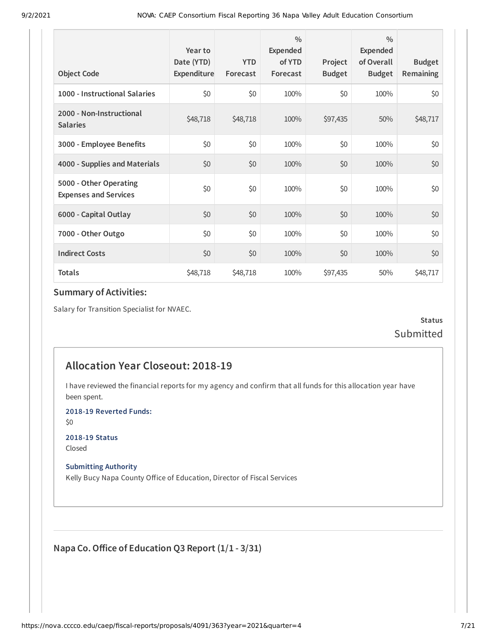| <b>Object Code</b>                                     | Year to<br>Date (YTD)<br>Expenditure | <b>YTD</b><br>Forecast | $\frac{0}{0}$<br>Expended<br>of YTD<br>Forecast | Project<br><b>Budget</b> | $\frac{0}{0}$<br>Expended<br>of Overall<br><b>Budget</b> | <b>Budget</b><br><b>Remaining</b> |
|--------------------------------------------------------|--------------------------------------|------------------------|-------------------------------------------------|--------------------------|----------------------------------------------------------|-----------------------------------|
| 1000 - Instructional Salaries                          | \$0                                  | \$0                    | 100%                                            | \$0                      | 100%                                                     | \$0                               |
| 2000 - Non-Instructional<br><b>Salaries</b>            | \$48,718                             | \$48,718               | 100%                                            | \$97,435                 | 50%                                                      | \$48,717                          |
| 3000 - Employee Benefits                               | \$0                                  | \$0                    | 100%                                            | \$0                      | 100%                                                     | \$0                               |
| 4000 - Supplies and Materials                          | \$0                                  | \$0                    | 100%                                            | \$0                      | 100%                                                     | \$0                               |
| 5000 - Other Operating<br><b>Expenses and Services</b> | \$0                                  | \$0                    | 100%                                            | \$0                      | 100%                                                     | \$0                               |
| 6000 - Capital Outlay                                  | \$0                                  | \$0                    | 100%                                            | \$0                      | 100%                                                     | \$0                               |
| 7000 - Other Outgo                                     | \$0                                  | \$0                    | 100%                                            | \$0                      | 100%                                                     | \$0                               |
| <b>Indirect Costs</b>                                  | \$0                                  | \$0                    | 100%                                            | \$0                      | 100%                                                     | \$0                               |
| <b>Totals</b>                                          | \$48,718                             | \$48,718               | 100%                                            | \$97,435                 | 50%                                                      | \$48,717                          |

Salary for Transition Specialist for NVAEC.

**Status** Submitted

## **Allocation Year Closeout: 2018-19**

I have reviewed the financial reports for my agency and confirm that all funds for this allocation year have been spent.

**2018-19 Reverted Funds:**

\$0

**2018-19 Status** Closed

**Submitting Authority**

Kelly Bucy Napa County Office of Education, Director of Fiscal Services

**Napa Co.Office of Education Q3 Report (1/1 - 3/31)**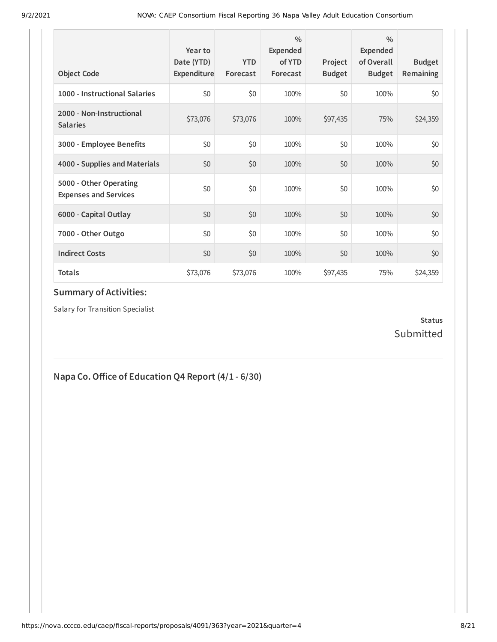| <b>Object Code</b>                                     | Year to<br>Date (YTD)<br>Expenditure | <b>YTD</b><br>Forecast | 0/0<br>Expended<br>of YTD<br>Forecast | Project<br><b>Budget</b> | $\frac{0}{0}$<br>Expended<br>of Overall<br><b>Budget</b> | <b>Budget</b><br><b>Remaining</b> |
|--------------------------------------------------------|--------------------------------------|------------------------|---------------------------------------|--------------------------|----------------------------------------------------------|-----------------------------------|
| 1000 - Instructional Salaries                          | \$0                                  | \$0                    | 100%                                  | \$0                      | 100%                                                     | \$0                               |
| 2000 - Non-Instructional<br><b>Salaries</b>            | \$73,076                             | \$73,076               | 100%                                  | \$97,435                 | 75%                                                      | \$24,359                          |
| 3000 - Employee Benefits                               | \$0                                  | \$0                    | 100%                                  | \$0                      | 100%                                                     | \$0                               |
| 4000 - Supplies and Materials                          | \$0                                  | \$0                    | 100%                                  | \$0                      | 100%                                                     | \$0                               |
| 5000 - Other Operating<br><b>Expenses and Services</b> | \$0                                  | \$0                    | 100%                                  | \$0                      | 100%                                                     | \$0                               |
| 6000 - Capital Outlay                                  | \$0                                  | \$0                    | 100%                                  | \$0                      | 100%                                                     | \$0                               |
| 7000 - Other Outgo                                     | \$0                                  | \$0                    | 100%                                  | \$0                      | 100%                                                     | \$0                               |
| <b>Indirect Costs</b>                                  | \$0                                  | \$0                    | 100%                                  | \$0                      | 100%                                                     | \$0                               |
| <b>Totals</b>                                          | \$73,076                             | \$73,076               | 100%                                  | \$97,435                 | 75%                                                      | \$24,359                          |

Salary for Transition Specialist

### **Status** Submitted

## **Napa Co.Office of Education Q4 Report (4/1 - 6/30)**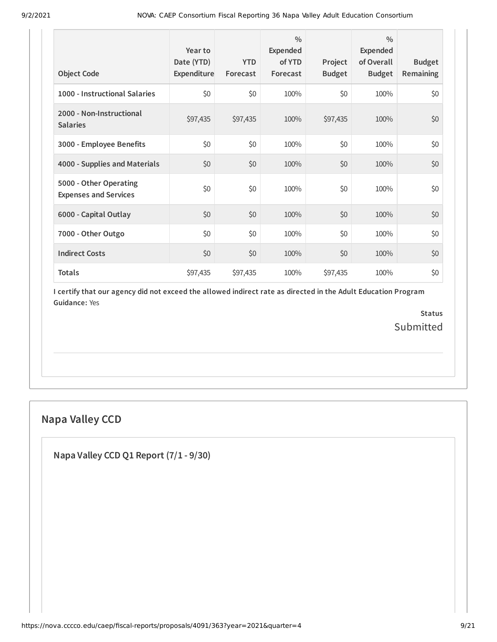| <b>Object Code</b>                                     | Year to<br>Date (YTD)<br>Expenditure | <b>YTD</b><br>Forecast | $\frac{0}{0}$<br>Expended<br>of YTD<br>Forecast | Project<br><b>Budget</b> | $\frac{0}{0}$<br>Expended<br>of Overall<br><b>Budget</b> | <b>Budget</b><br>Remaining |
|--------------------------------------------------------|--------------------------------------|------------------------|-------------------------------------------------|--------------------------|----------------------------------------------------------|----------------------------|
| 1000 - Instructional Salaries                          | \$0                                  | \$0                    | 100%                                            | \$0                      | 100%                                                     | \$0                        |
| 2000 - Non-Instructional<br><b>Salaries</b>            | \$97,435                             | \$97,435               | 100%                                            | \$97,435                 | 100%                                                     | \$0                        |
| 3000 - Employee Benefits                               | \$0                                  | \$0                    | 100%                                            | \$0                      | 100%                                                     | \$0                        |
| 4000 - Supplies and Materials                          | \$0                                  | \$0                    | 100%                                            | \$0                      | 100%                                                     | \$0                        |
| 5000 - Other Operating<br><b>Expenses and Services</b> | \$0                                  | \$0                    | 100%                                            | \$0                      | 100%                                                     | \$0                        |
| 6000 - Capital Outlay                                  | \$0                                  | \$0                    | 100%                                            | \$0                      | 100%                                                     | \$0                        |
| 7000 - Other Outgo                                     | \$0                                  | \$0                    | 100%                                            | \$0                      | 100%                                                     | \$0                        |
| <b>Indirect Costs</b>                                  | \$0                                  | \$0                    | 100%                                            | \$0                      | 100%                                                     | \$0                        |
| <b>Totals</b>                                          | \$97,435                             | \$97,435               | 100%                                            | \$97,435                 | 100%                                                     | \$0                        |

> **Status** Submitted

## **Napa Valley CCD**

**Napa Valley CCD Q1 Report (7/1 - 9/30)**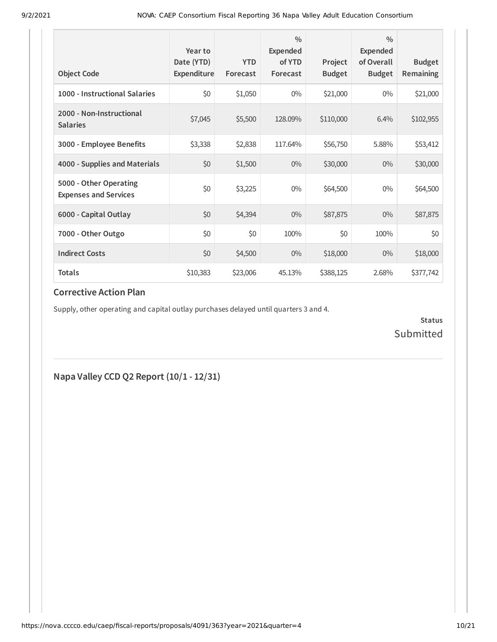| <b>Object Code</b>                                     | Year to<br>Date (YTD)<br>Expenditure | <b>YTD</b><br>Forecast | $\frac{0}{0}$<br>Expended<br>of YTD<br>Forecast | Project<br><b>Budget</b> | $\frac{0}{0}$<br>Expended<br>of Overall<br><b>Budget</b> | <b>Budget</b><br>Remaining |
|--------------------------------------------------------|--------------------------------------|------------------------|-------------------------------------------------|--------------------------|----------------------------------------------------------|----------------------------|
| 1000 - Instructional Salaries                          | \$0                                  | \$1,050                | $0\%$                                           | \$21,000                 | $0\%$                                                    | \$21,000                   |
| 2000 - Non-Instructional<br><b>Salaries</b>            | \$7,045                              | \$5,500                | 128.09%                                         | \$110,000                | 6.4%                                                     | \$102,955                  |
| 3000 - Employee Benefits                               | \$3,338                              | \$2,838                | 117.64%                                         | \$56,750                 | 5.88%                                                    | \$53,412                   |
| 4000 - Supplies and Materials                          | \$0                                  | \$1,500                | $0\%$                                           | \$30,000                 | $0\%$                                                    | \$30,000                   |
| 5000 - Other Operating<br><b>Expenses and Services</b> | \$0                                  | \$3,225                | $0\%$                                           | \$64,500                 | $0\%$                                                    | \$64,500                   |
| 6000 - Capital Outlay                                  | \$0                                  | \$4,394                | $0\%$                                           | \$87,875                 | $0\%$                                                    | \$87,875                   |
| 7000 - Other Outgo                                     | \$0                                  | \$0                    | 100%                                            | \$0                      | 100%                                                     | \$0                        |
| <b>Indirect Costs</b>                                  | \$0                                  | \$4,500                | $0\%$                                           | \$18,000                 | $0\%$                                                    | \$18,000                   |
| <b>Totals</b>                                          | \$10,383                             | \$23,006               | 45.13%                                          | \$388,125                | 2.68%                                                    | \$377,742                  |

Supply, other operating and capital outlay purchases delayed until quarters 3 and 4.

**Status** Submitted

**Napa Valley CCD Q2 Report (10/1 - 12/31)**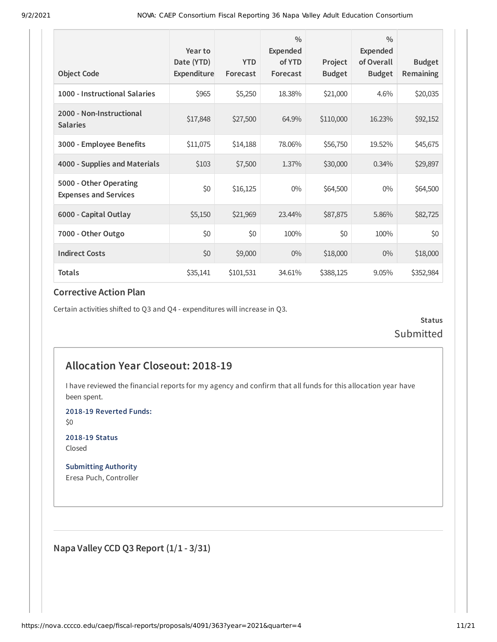| <b>Object Code</b>                                     | Year to<br>Date (YTD)<br>Expenditure | <b>YTD</b><br>Forecast | $\frac{0}{0}$<br><b>Expended</b><br>of YTD<br>Forecast | Project<br><b>Budget</b> | $\frac{0}{0}$<br><b>Expended</b><br>of Overall<br><b>Budget</b> | <b>Budget</b><br>Remaining |
|--------------------------------------------------------|--------------------------------------|------------------------|--------------------------------------------------------|--------------------------|-----------------------------------------------------------------|----------------------------|
| 1000 - Instructional Salaries                          | \$965                                | \$5,250                | 18.38%                                                 | \$21,000                 | 4.6%                                                            | \$20,035                   |
| 2000 - Non-Instructional<br><b>Salaries</b>            | \$17,848                             | \$27,500               | 64.9%                                                  | \$110,000                | 16.23%                                                          | \$92,152                   |
| 3000 - Employee Benefits                               | \$11,075                             | \$14,188               | 78.06%                                                 | \$56,750                 | 19.52%                                                          | \$45,675                   |
| 4000 - Supplies and Materials                          | \$103                                | \$7,500                | 1.37%                                                  | \$30,000                 | 0.34%                                                           | \$29,897                   |
| 5000 - Other Operating<br><b>Expenses and Services</b> | \$0                                  | \$16,125               | $0\%$                                                  | \$64,500                 | $0\%$                                                           | \$64,500                   |
| 6000 - Capital Outlay                                  | \$5,150                              | \$21,969               | 23.44%                                                 | \$87,875                 | 5.86%                                                           | \$82,725                   |
| 7000 - Other Outgo                                     | \$0                                  | \$0                    | 100%                                                   | \$0                      | 100%                                                            | \$0                        |
| <b>Indirect Costs</b>                                  | \$0                                  | \$9,000                | $0\%$                                                  | \$18,000                 | $0\%$                                                           | \$18,000                   |
| <b>Totals</b>                                          | \$35,141                             | \$101,531              | 34.61%                                                 | \$388,125                | 9.05%                                                           | \$352,984                  |

Certain activities shifted to Q3 and Q4 - expenditures will increase in Q3.

**Status** Submitted

## **Allocation Year Closeout: 2018-19**

I have reviewed the financial reports for my agency and confirm that all funds for this allocation year have been spent.

**2018-19 Reverted Funds:**

\$0

**2018-19 Status** Closed

**Submitting Authority** Eresa Puch, Controller

**Napa Valley CCD Q3 Report (1/1 - 3/31)**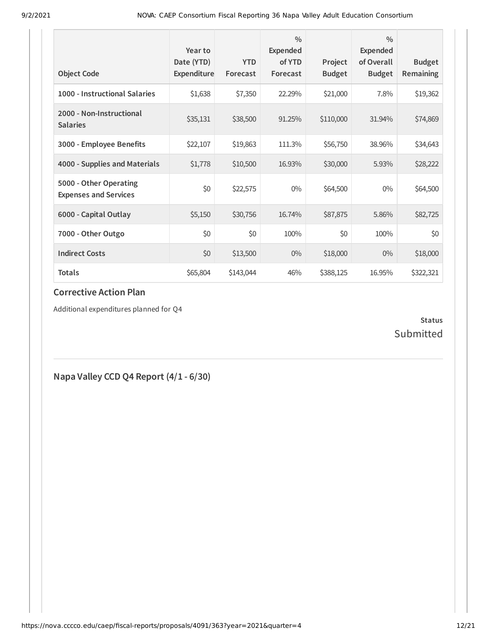| <b>Object Code</b>                                     | Year to<br>Date (YTD)<br>Expenditure | <b>YTD</b><br>Forecast | $\frac{0}{0}$<br>Expended<br>of YTD<br>Forecast | Project<br><b>Budget</b> | $\frac{0}{0}$<br><b>Expended</b><br>of Overall<br><b>Budget</b> | <b>Budget</b><br><b>Remaining</b> |
|--------------------------------------------------------|--------------------------------------|------------------------|-------------------------------------------------|--------------------------|-----------------------------------------------------------------|-----------------------------------|
| 1000 - Instructional Salaries                          | \$1,638                              | \$7,350                | 22.29%                                          | \$21,000                 | 7.8%                                                            | \$19,362                          |
| 2000 - Non-Instructional<br><b>Salaries</b>            | \$35,131                             | \$38,500               | 91.25%                                          | \$110,000                | 31.94%                                                          | \$74,869                          |
| 3000 - Employee Benefits                               | \$22,107                             | \$19,863               | 111.3%                                          | \$56,750                 | 38.96%                                                          | \$34,643                          |
| 4000 - Supplies and Materials                          | \$1,778                              | \$10,500               | 16.93%                                          | \$30,000                 | 5.93%                                                           | \$28,222                          |
| 5000 - Other Operating<br><b>Expenses and Services</b> | \$0                                  | \$22,575               | $0\%$                                           | \$64,500                 | $0\%$                                                           | \$64,500                          |
| 6000 - Capital Outlay                                  | \$5,150                              | \$30,756               | 16.74%                                          | \$87,875                 | 5.86%                                                           | \$82,725                          |
| 7000 - Other Outgo                                     | \$0                                  | \$0                    | 100%                                            | \$0                      | 100%                                                            | \$0                               |
| <b>Indirect Costs</b>                                  | \$0                                  | \$13,500               | $0\%$                                           | \$18,000                 | $0\%$                                                           | \$18,000                          |
| Totals                                                 | \$65,804                             | \$143,044              | 46%                                             | \$388,125                | 16.95%                                                          | \$322,321                         |

Additional expenditures planned for Q4

### **Status** Submitted

**Napa Valley CCD Q4 Report (4/1 - 6/30)**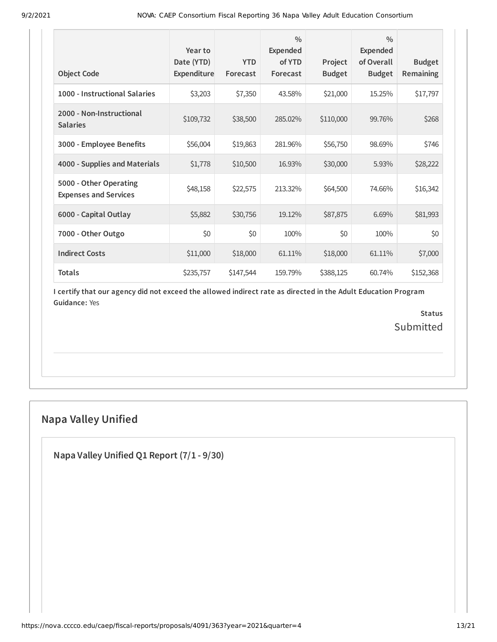| <b>Object Code</b>                                     | Year to<br>Date (YTD)<br>Expenditure | <b>YTD</b><br>Forecast | $\frac{0}{0}$<br><b>Expended</b><br>of YTD<br>Forecast | Project<br><b>Budget</b> | $\frac{0}{0}$<br><b>Expended</b><br>of Overall<br><b>Budget</b> | <b>Budget</b><br><b>Remaining</b> |
|--------------------------------------------------------|--------------------------------------|------------------------|--------------------------------------------------------|--------------------------|-----------------------------------------------------------------|-----------------------------------|
| 1000 - Instructional Salaries                          | \$3,203                              | \$7,350                | 43.58%                                                 | \$21,000                 | 15.25%                                                          | \$17,797                          |
| 2000 - Non-Instructional<br><b>Salaries</b>            | \$109,732                            | \$38,500               | 285.02%                                                | \$110,000                | 99.76%                                                          | \$268                             |
| 3000 - Employee Benefits                               | \$56,004                             | \$19,863               | 281.96%                                                | \$56,750                 | 98.69%                                                          | \$746                             |
| 4000 - Supplies and Materials                          | \$1,778                              | \$10,500               | 16.93%                                                 | \$30,000                 | 5.93%                                                           | \$28,222                          |
| 5000 - Other Operating<br><b>Expenses and Services</b> | \$48,158                             | \$22,575               | 213.32%                                                | \$64,500                 | 74.66%                                                          | \$16,342                          |
| 6000 - Capital Outlay                                  | \$5,882                              | \$30,756               | 19.12%                                                 | \$87,875                 | 6.69%                                                           | \$81,993                          |
| 7000 - Other Outgo                                     | \$0                                  | \$0                    | 100%                                                   | \$0                      | 100%                                                            | \$0                               |
| <b>Indirect Costs</b>                                  | \$11,000                             | \$18,000               | 61.11%                                                 | \$18,000                 | 61.11%                                                          | \$7,000                           |
| <b>Totals</b>                                          | \$235,757                            | \$147,544              | 159.79%                                                | \$388,125                | 60.74%                                                          | \$152,368                         |

> **Status** Submitted

## **Napa Valley Unified**

**Napa Valley Unified Q1 Report (7/1 - 9/30)**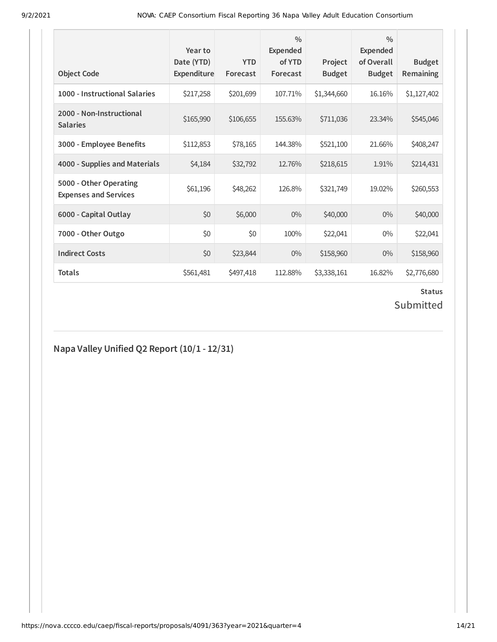| <b>Object Code</b>                                     | Year to<br>Date (YTD)<br>Expenditure | <b>YTD</b><br>Forecast | $\frac{0}{0}$<br><b>Expended</b><br>of YTD<br>Forecast | Project<br><b>Budget</b> | $\frac{0}{0}$<br>Expended<br>of Overall<br><b>Budget</b> | <b>Budget</b><br>Remaining |
|--------------------------------------------------------|--------------------------------------|------------------------|--------------------------------------------------------|--------------------------|----------------------------------------------------------|----------------------------|
| 1000 - Instructional Salaries                          | \$217,258                            | \$201,699              | 107.71%                                                | \$1,344,660              | 16.16%                                                   | \$1,127,402                |
| 2000 - Non-Instructional<br><b>Salaries</b>            | \$165,990                            | \$106,655              | 155.63%                                                | \$711,036                | 23.34%                                                   | \$545,046                  |
| 3000 - Employee Benefits                               | \$112,853                            | \$78,165               | 144.38%                                                | \$521,100                | 21.66%                                                   | \$408,247                  |
| 4000 - Supplies and Materials                          | \$4,184                              | \$32,792               | 12.76%                                                 | \$218,615                | 1.91%                                                    | \$214,431                  |
| 5000 - Other Operating<br><b>Expenses and Services</b> | \$61,196                             | \$48,262               | 126.8%                                                 | \$321,749                | 19.02%                                                   | \$260,553                  |
| 6000 - Capital Outlay                                  | \$0                                  | \$6,000                | $0\%$                                                  | \$40,000                 | $0\%$                                                    | \$40,000                   |
| 7000 - Other Outgo                                     | \$0                                  | \$0                    | 100%                                                   | \$22,041                 | $0\%$                                                    | \$22,041                   |
| <b>Indirect Costs</b>                                  | \$0                                  | \$23,844               | $0\%$                                                  | \$158,960                | $0\%$                                                    | \$158,960                  |
| <b>Totals</b>                                          | \$561,481                            | \$497,418              | 112.88%                                                | \$3,338,161              | 16.82%                                                   | \$2,776,680                |

### **Status** Submitted

## **Napa Valley Unified Q2 Report (10/1 - 12/31)**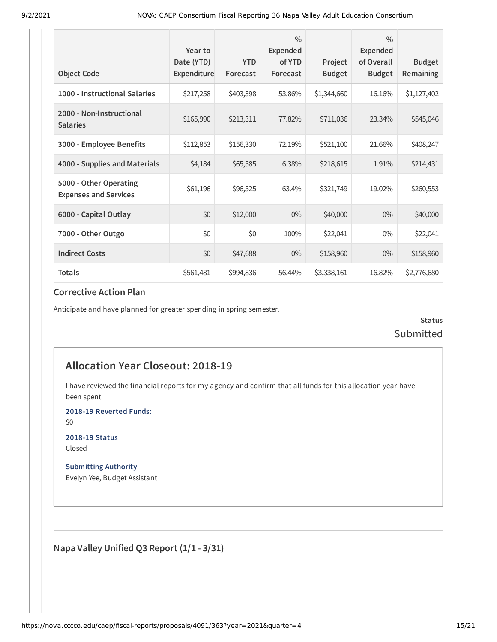| <b>Object Code</b>                                     | Year to<br>Date (YTD)<br>Expenditure | <b>YTD</b><br>Forecast | $\frac{0}{0}$<br>Expended<br>of YTD<br>Forecast | Project<br><b>Budget</b> | $\frac{0}{0}$<br><b>Expended</b><br>of Overall<br><b>Budget</b> | <b>Budget</b><br>Remaining |
|--------------------------------------------------------|--------------------------------------|------------------------|-------------------------------------------------|--------------------------|-----------------------------------------------------------------|----------------------------|
| 1000 - Instructional Salaries                          | \$217,258                            | \$403,398              | 53.86%                                          | \$1,344,660              | 16.16%                                                          | \$1,127,402                |
| 2000 - Non-Instructional<br><b>Salaries</b>            | \$165,990                            | \$213,311              | 77.82%                                          | \$711,036                | 23.34%                                                          | \$545,046                  |
| 3000 - Employee Benefits                               | \$112,853                            | \$156,330              | 72.19%                                          | \$521,100                | 21.66%                                                          | \$408,247                  |
| 4000 - Supplies and Materials                          | \$4,184                              | \$65,585               | 6.38%                                           | \$218,615                | 1.91%                                                           | \$214,431                  |
| 5000 - Other Operating<br><b>Expenses and Services</b> | \$61,196                             | \$96,525               | 63.4%                                           | \$321,749                | 19.02%                                                          | \$260,553                  |
| 6000 - Capital Outlay                                  | \$0                                  | \$12,000               | $0\%$                                           | \$40,000                 | $0\%$                                                           | \$40,000                   |
| 7000 - Other Outgo                                     | \$0                                  | \$0                    | 100%                                            | \$22,041                 | $0\%$                                                           | \$22,041                   |
| <b>Indirect Costs</b>                                  | \$0                                  | \$47,688               | $0\%$                                           | \$158,960                | $0\%$                                                           | \$158,960                  |
| Totals                                                 | \$561,481                            | \$994,836              | 56.44%                                          | \$3,338,161              | 16.82%                                                          | \$2,776,680                |

Anticipate and have planned for greater spending in spring semester.

**Status** Submitted

## **Allocation Year Closeout: 2018-19**

I have reviewed the financial reports for my agency and confirm that all funds for this allocation year have been spent.

**2018-19 Reverted Funds:**

\$0

**2018-19 Status** Closed

**Submitting Authority** Evelyn Yee, Budget Assistant

**Napa Valley Unified Q3 Report (1/1 - 3/31)**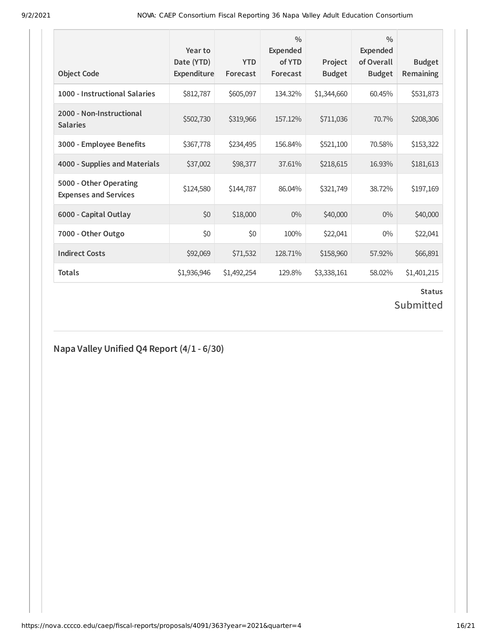| <b>Object Code</b>                                     | Year to<br>Date (YTD)<br>Expenditure | <b>YTD</b><br>Forecast | $\frac{0}{0}$<br><b>Expended</b><br>of YTD<br>Forecast | Project<br><b>Budget</b> | $\frac{0}{0}$<br><b>Expended</b><br>of Overall<br><b>Budget</b> | <b>Budget</b><br>Remaining |
|--------------------------------------------------------|--------------------------------------|------------------------|--------------------------------------------------------|--------------------------|-----------------------------------------------------------------|----------------------------|
| 1000 - Instructional Salaries                          | \$812,787                            | \$605,097              | 134.32%                                                | \$1,344,660              | 60.45%                                                          | \$531,873                  |
| 2000 - Non-Instructional<br><b>Salaries</b>            | \$502,730                            | \$319,966              | 157.12%                                                | \$711,036                | 70.7%                                                           | \$208,306                  |
| 3000 - Employee Benefits                               | \$367,778                            | \$234,495              | 156.84%                                                | \$521,100                | 70.58%                                                          | \$153,322                  |
| 4000 - Supplies and Materials                          | \$37,002                             | \$98,377               | 37.61%                                                 | \$218,615                | 16.93%                                                          | \$181,613                  |
| 5000 - Other Operating<br><b>Expenses and Services</b> | \$124,580                            | \$144,787              | 86.04%                                                 | \$321,749                | 38.72%                                                          | \$197,169                  |
| 6000 - Capital Outlay                                  | \$0                                  | \$18,000               | $0\%$                                                  | \$40,000                 | $0\%$                                                           | \$40,000                   |
| 7000 - Other Outgo                                     | \$0                                  | \$0                    | 100%                                                   | \$22,041                 | $0\%$                                                           | \$22,041                   |
| <b>Indirect Costs</b>                                  | \$92,069                             | \$71,532               | 128.71%                                                | \$158,960                | 57.92%                                                          | \$66,891                   |
| <b>Totals</b>                                          | \$1,936,946                          | \$1,492,254            | 129.8%                                                 | \$3,338,161              | 58.02%                                                          | \$1,401,215                |

# **Status**

## Submitted

## **Napa Valley Unified Q4 Report (4/1 - 6/30)**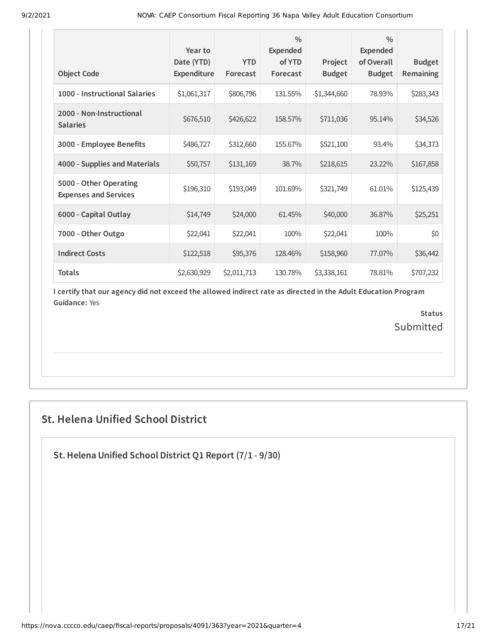| <b>Object Code</b>                                     | Year to<br>Date (YTD)<br>Expenditure | <b>YTD</b><br>Forecast | $\frac{0}{0}$<br><b>Expended</b><br>of YTD<br>Forecast | Project<br><b>Budget</b> | $\frac{0}{0}$<br>Expended<br>of Overall<br><b>Budget</b> | <b>Budget</b><br><b>Remaining</b> |
|--------------------------------------------------------|--------------------------------------|------------------------|--------------------------------------------------------|--------------------------|----------------------------------------------------------|-----------------------------------|
| 1000 - Instructional Salaries                          | \$1,061,317                          | \$806,796              | 131.55%                                                | \$1,344,660              | 78.93%                                                   | \$283,343                         |
| 2000 - Non-Instructional<br><b>Salaries</b>            | \$676,510                            | \$426,622              | 158.57%                                                | \$711,036                | 95.14%                                                   | \$34,526                          |
| 3000 - Employee Benefits                               | \$486,727                            | \$312,660              | 155.67%                                                | \$521,100                | 93.4%                                                    | \$34,373                          |
| 4000 - Supplies and Materials                          | \$50,757                             | \$131,169              | 38.7%                                                  | \$218,615                | 23.22%                                                   | \$167,858                         |
| 5000 - Other Operating<br><b>Expenses and Services</b> | \$196,310                            | \$193,049              | 101.69%                                                | \$321,749                | 61.01%                                                   | \$125,439                         |
| 6000 - Capital Outlay                                  | \$14,749                             | \$24,000               | 61.45%                                                 | \$40,000                 | 36.87%                                                   | \$25,251                          |
| 7000 - Other Outgo                                     | \$22,041                             | \$22,041               | 100%                                                   | \$22,041                 | 100%                                                     | \$0                               |
| <b>Indirect Costs</b>                                  | \$122,518                            | \$95,376               | 128.46%                                                | \$158,960                | 77.07%                                                   | \$36,442                          |
| <b>Totals</b>                                          | \$2,630,929                          | \$2,011,713            | 130.78%                                                | \$3,338,161              | 78.81%                                                   | \$707,232                         |

> **Status Submitted**

## **St. Helena Unified School District**

**St.Helena Unified School District Q1 Report (7/1 - 9/30)**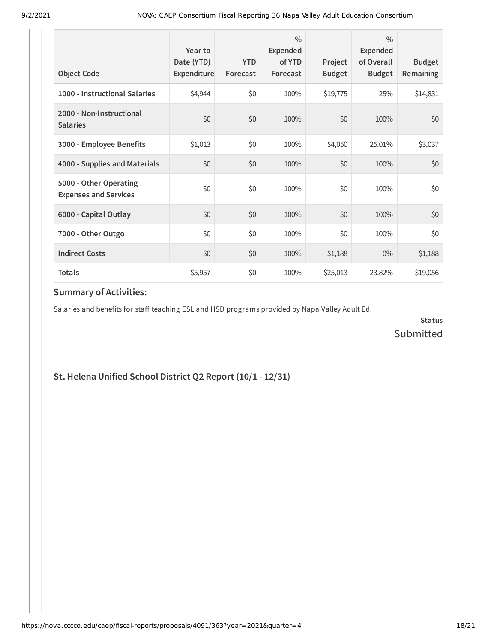| <b>Object Code</b>                                     | Year to<br>Date (YTD)<br>Expenditure | <b>YTD</b><br>Forecast | 0/0<br>Expended<br>of YTD<br>Forecast | Project<br><b>Budget</b> | $\frac{0}{0}$<br>Expended<br>of Overall<br><b>Budget</b> | <b>Budget</b><br><b>Remaining</b> |
|--------------------------------------------------------|--------------------------------------|------------------------|---------------------------------------|--------------------------|----------------------------------------------------------|-----------------------------------|
| 1000 - Instructional Salaries                          | \$4,944                              | \$0                    | 100%                                  | \$19,775                 | 25%                                                      | \$14,831                          |
| 2000 - Non-Instructional<br><b>Salaries</b>            | \$0                                  | \$0                    | 100%                                  | \$0                      | 100%                                                     | \$0                               |
| 3000 - Employee Benefits                               | \$1,013                              | \$0                    | 100%                                  | \$4,050                  | 25.01%                                                   | \$3,037                           |
| 4000 - Supplies and Materials                          | \$0                                  | \$0                    | 100%                                  | \$0                      | 100%                                                     | \$0                               |
| 5000 - Other Operating<br><b>Expenses and Services</b> | \$0                                  | \$0                    | 100%                                  | \$0                      | 100%                                                     | \$0                               |
| 6000 - Capital Outlay                                  | \$0                                  | \$0                    | 100%                                  | \$0                      | 100%                                                     | \$0                               |
| 7000 - Other Outgo                                     | \$0                                  | \$0                    | 100%                                  | \$0                      | 100%                                                     | \$0                               |
| <b>Indirect Costs</b>                                  | \$0                                  | \$0                    | 100%                                  | \$1,188                  | $0\%$                                                    | \$1,188                           |
| <b>Totals</b>                                          | \$5,957                              | \$0                    | 100%                                  | \$25,013                 | 23.82%                                                   | \$19,056                          |

Salaries and benefits for staff teaching ESL and HSD programs provided by Napa Valley Adult Ed.

**Status** Submitted

## **St.Helena Unified School District Q2 Report (10/1 - 12/31)**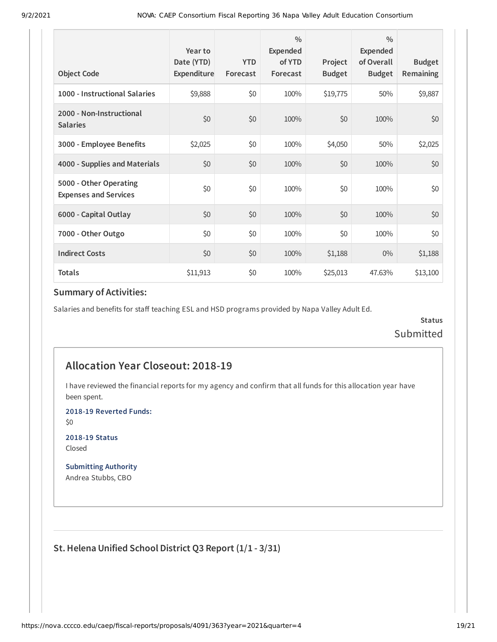| <b>Object Code</b>                                     | Year to<br>Date (YTD)<br>Expenditure | <b>YTD</b><br>Forecast | $\frac{0}{0}$<br>Expended<br>of YTD<br>Forecast | Project<br><b>Budget</b> | $\frac{0}{0}$<br>Expended<br>of Overall<br><b>Budget</b> | <b>Budget</b><br>Remaining |
|--------------------------------------------------------|--------------------------------------|------------------------|-------------------------------------------------|--------------------------|----------------------------------------------------------|----------------------------|
| 1000 - Instructional Salaries                          | \$9,888                              | \$0                    | 100%                                            | \$19,775                 | 50%                                                      | \$9,887                    |
| 2000 - Non-Instructional<br><b>Salaries</b>            | \$0                                  | \$0                    | 100%                                            | \$0                      | 100%                                                     | \$0                        |
| 3000 - Employee Benefits                               | \$2,025                              | \$0                    | 100%                                            | \$4,050                  | 50%                                                      | \$2,025                    |
| 4000 - Supplies and Materials                          | \$0                                  | \$0                    | 100%                                            | \$0                      | 100%                                                     | \$0                        |
| 5000 - Other Operating<br><b>Expenses and Services</b> | \$0                                  | \$0                    | 100%                                            | \$0                      | 100%                                                     | \$0                        |
| 6000 - Capital Outlay                                  | \$0                                  | \$0                    | 100%                                            | \$0                      | 100%                                                     | \$0                        |
| 7000 - Other Outgo                                     | \$0                                  | \$0                    | 100%                                            | \$0                      | 100%                                                     | \$0                        |
| <b>Indirect Costs</b>                                  | \$0                                  | \$0                    | 100%                                            | \$1,188                  | $0\%$                                                    | \$1,188                    |
| <b>Totals</b>                                          | \$11,913                             | \$0                    | 100%                                            | \$25,013                 | 47.63%                                                   | \$13,100                   |

Salaries and benefits for staff teaching ESL and HSD programs provided by Napa Valley Adult Ed.

**Status** Submitted

## **Allocation Year Closeout: 2018-19**

I have reviewed the financial reports for my agency and confirm that all funds for this allocation year have been spent.

**2018-19 Reverted Funds:**

\$0

**2018-19 Status** Closed

**Submitting Authority** Andrea Stubbs, CBO

**St.Helena Unified School District Q3 Report (1/1 - 3/31)**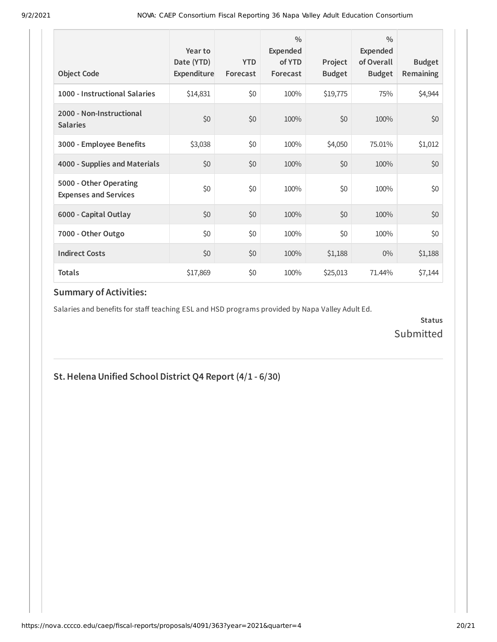| <b>Object Code</b>                                     | Year to<br>Date (YTD)<br>Expenditure | <b>YTD</b><br>Forecast | $\frac{0}{0}$<br>Expended<br>of YTD<br>Forecast | Project<br><b>Budget</b> | $\frac{0}{0}$<br>Expended<br>of Overall<br><b>Budget</b> | <b>Budget</b><br><b>Remaining</b> |
|--------------------------------------------------------|--------------------------------------|------------------------|-------------------------------------------------|--------------------------|----------------------------------------------------------|-----------------------------------|
| 1000 - Instructional Salaries                          | \$14,831                             | \$0                    | 100%                                            | \$19,775                 | 75%                                                      | \$4,944                           |
| 2000 - Non-Instructional<br><b>Salaries</b>            | \$0                                  | \$0                    | 100%                                            | \$0                      | 100%                                                     | \$0                               |
| 3000 - Employee Benefits                               | \$3,038                              | \$0                    | 100%                                            | \$4,050                  | 75.01%                                                   | \$1,012                           |
| 4000 - Supplies and Materials                          | \$0                                  | \$0                    | 100%                                            | \$0                      | 100%                                                     | \$0                               |
| 5000 - Other Operating<br><b>Expenses and Services</b> | \$0                                  | \$0                    | 100%                                            | \$0                      | 100%                                                     | \$0                               |
| 6000 - Capital Outlay                                  | \$0                                  | \$0                    | 100%                                            | \$0                      | 100%                                                     | \$0                               |
| 7000 - Other Outgo                                     | \$0                                  | \$0                    | 100%                                            | \$0                      | 100%                                                     | \$0                               |
| <b>Indirect Costs</b>                                  | \$0                                  | \$0                    | 100%                                            | \$1,188                  | $0\%$                                                    | \$1,188                           |
| <b>Totals</b>                                          | \$17,869                             | \$0                    | 100%                                            | \$25,013                 | 71.44%                                                   | \$7,144                           |

Salaries and benefits for staff teaching ESL and HSD programs provided by Napa Valley Adult Ed.

**Status** Submitted

## **St.Helena Unified School District Q4 Report (4/1 - 6/30)**